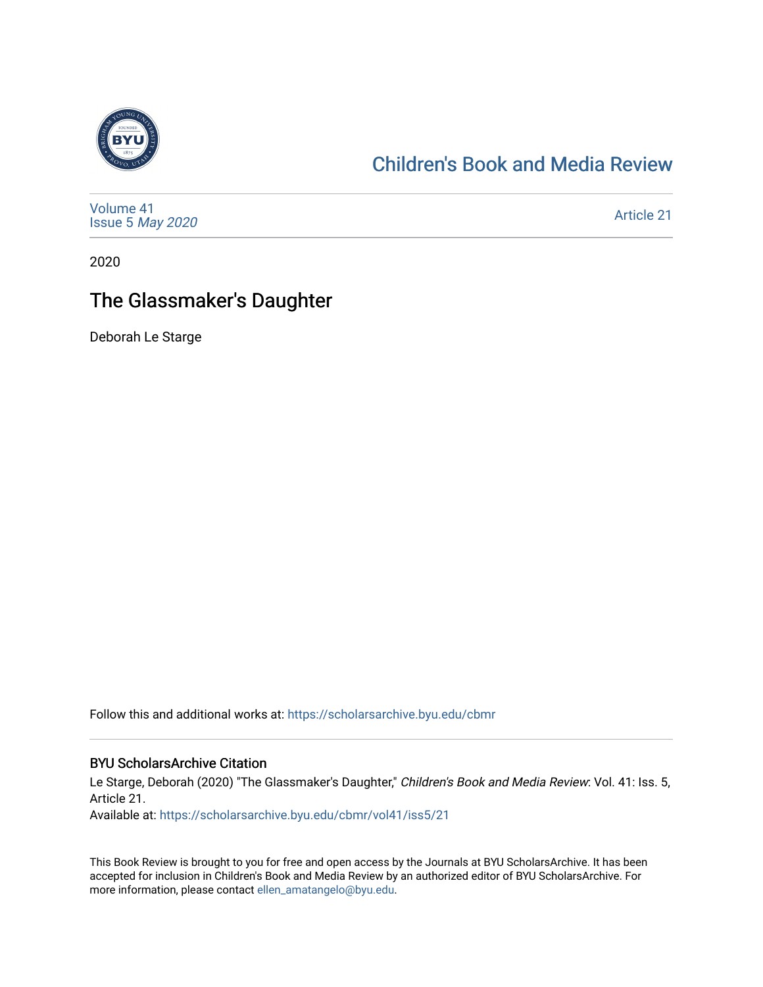

### [Children's Book and Media Review](https://scholarsarchive.byu.edu/cbmr)

[Volume 41](https://scholarsarchive.byu.edu/cbmr/vol41) Issue 5 [May 2020](https://scholarsarchive.byu.edu/cbmr/vol41/iss5) 

[Article 21](https://scholarsarchive.byu.edu/cbmr/vol41/iss5/21) 

2020

## The Glassmaker's Daughter

Deborah Le Starge

Follow this and additional works at: [https://scholarsarchive.byu.edu/cbmr](https://scholarsarchive.byu.edu/cbmr?utm_source=scholarsarchive.byu.edu%2Fcbmr%2Fvol41%2Fiss5%2F21&utm_medium=PDF&utm_campaign=PDFCoverPages) 

#### BYU ScholarsArchive Citation

Le Starge, Deborah (2020) "The Glassmaker's Daughter," Children's Book and Media Review: Vol. 41: Iss. 5, Article 21.

Available at: [https://scholarsarchive.byu.edu/cbmr/vol41/iss5/21](https://scholarsarchive.byu.edu/cbmr/vol41/iss5/21?utm_source=scholarsarchive.byu.edu%2Fcbmr%2Fvol41%2Fiss5%2F21&utm_medium=PDF&utm_campaign=PDFCoverPages)

This Book Review is brought to you for free and open access by the Journals at BYU ScholarsArchive. It has been accepted for inclusion in Children's Book and Media Review by an authorized editor of BYU ScholarsArchive. For more information, please contact [ellen\\_amatangelo@byu.edu.](mailto:ellen_amatangelo@byu.edu)